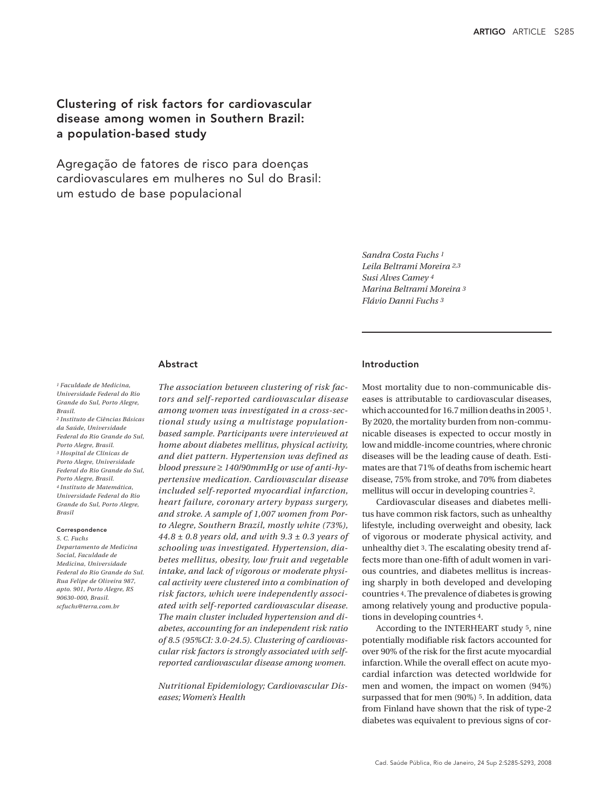# Clustering of risk factors for cardiovascular disease among women in Southern Brazil: a population-based study

Agregação de fatores de risco para doenças cardiovasculares em mulheres no Sul do Brasil: um estudo de base populacional

> *Sandra Costa Fuchs 1 Leila Beltrami Moreira 2,3 Susi Alves Camey 4 Marina Beltrami Moreira 3 Flávio Danni Fuchs 3*

## Abstract

*1 Faculdade de Medicina, Universidade Federal do Rio Grande do Sul, Porto Alegre, Brasil. 2 Instituto de Ciências Básicas da Saúde, Universidade* 

*Federal do Rio Grande do Sul, Porto Alegre, Brasil. 3 Hospital de Clínicas de Porto Alegre, Universidade Federal do Rio Grande do Sul, Porto Alegre, Brasil. 4 Instituto de Matemática, Universidade Federal do Rio Grande do Sul, Porto Alegre, Brasil* 

#### Correspondence

*90630-000, Brasil. scfuchs@terra.com.br*

*S. C. Fuchs Departamento de Medicina Social, Faculdade de Medicina, Universidade Federal do Rio Grande do Sul. Rua Felipe de Oliveira 987, apto. 901, Porto Alegre, RS* 

*among women was investigated in a cross-sectional study using a multistage populationbased sample. Participants were interviewed at home about diabetes mellitus, physical activity, and diet pattern. Hypertension was defined as blood pressure* ≥ *140/90mmHg or use of anti-hypertensive medication. Cardiovascular disease included self-reported myocardial infarction, heart failure, coronary artery bypass surgery, and stroke. A sample of 1,007 women from Porto Alegre, Southern Brazil, mostly white (73%), 44.8 ± 0.8 years old, and with 9.3 ± 0.3 years of schooling was investigated. Hypertension, diabetes mellitus, obesity, low fruit and vegetable intake, and lack of vigorous or moderate physical activity were clustered into a combination of risk factors, which were independently associated with self-reported cardiovascular disease. The main cluster included hypertension and diabetes, accounting for an independent risk ratio of 8.5 (95%CI: 3.0-24.5). Clustering of cardiovascular risk factors is strongly associated with self-*

*The association between clustering of risk factors and self-reported cardiovascular disease* 

*Nutritional Epidemiology; Cardiovascular Diseases; Women's Health*

*reported cardiovascular disease among women.*

# Introduction

Most mortality due to non-communicable diseases is attributable to cardiovascular diseases, which accounted for 16.7 million deaths in 2005 1. By 2020, the mortality burden from non-communicable diseases is expected to occur mostly in low and middle-income countries, where chronic diseases will be the leading cause of death. Estimates are that 71% of deaths from ischemic heart disease, 75% from stroke, and 70% from diabetes mellitus will occur in developing countries 2.

Cardiovascular diseases and diabetes mellitus have common risk factors, such as unhealthy lifestyle, including overweight and obesity, lack of vigorous or moderate physical activity, and unhealthy diet 3. The escalating obesity trend affects more than one-fifth of adult women in various countries, and diabetes mellitus is increasing sharply in both developed and developing countries 4. The prevalence of diabetes is growing among relatively young and productive populations in developing countries 4.

According to the INTERHEART study 5, nine potentially modifiable risk factors accounted for over 90% of the risk for the first acute myocardial infarction. While the overall effect on acute myocardial infarction was detected worldwide for men and women, the impact on women (94%) surpassed that for men (90%) 5. In addition, data from Finland have shown that the risk of type-2 diabetes was equivalent to previous signs of cor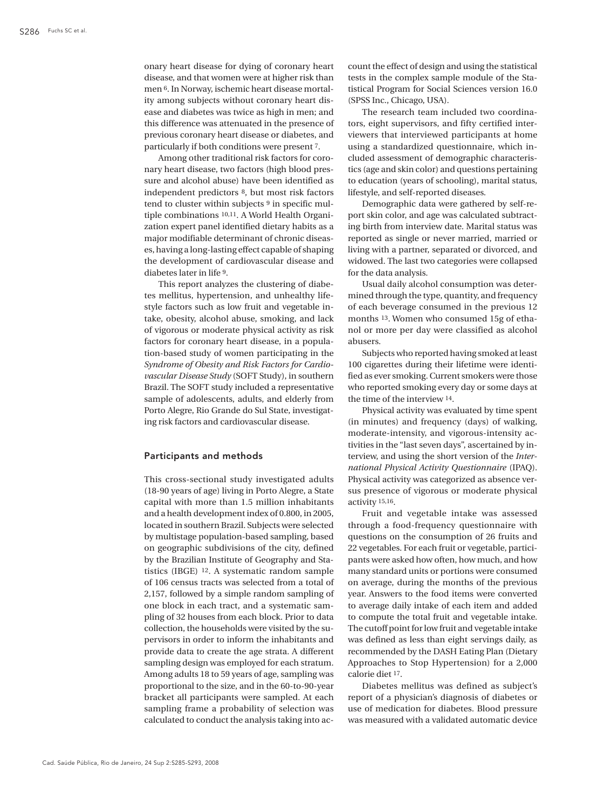onary heart disease for dying of coronary heart disease, and that women were at higher risk than men 6. In Norway, ischemic heart disease mortality among subjects without coronary heart disease and diabetes was twice as high in men; and this difference was attenuated in the presence of previous coronary heart disease or diabetes, and particularly if both conditions were present 7.

Among other traditional risk factors for coronary heart disease, two factors (high blood pressure and alcohol abuse) have been identified as independent predictors 8, but most risk factors tend to cluster within subjects 9 in specific multiple combinations 10,11. A World Health Organization expert panel identified dietary habits as a major modifiable determinant of chronic diseases, having a long-lasting effect capable of shaping the development of cardiovascular disease and diabetes later in life 9.

This report analyzes the clustering of diabetes mellitus, hypertension, and unhealthy lifestyle factors such as low fruit and vegetable intake, obesity, alcohol abuse, smoking, and lack of vigorous or moderate physical activity as risk factors for coronary heart disease, in a population-based study of women participating in the *Syndrome of Obesity and Risk Factors for Cardiovascular Disease Study* (SOFT Study), in southern Brazil. The SOFT study included a representative sample of adolescents, adults, and elderly from Porto Alegre, Rio Grande do Sul State, investigating risk factors and cardiovascular disease.

# Participants and methods

This cross-sectional study investigated adults (18-90 years of age) living in Porto Alegre, a State capital with more than 1.5 million inhabitants and a health development index of 0.800, in 2005, located in southern Brazil. Subjects were selected by multistage population-based sampling, based on geographic subdivisions of the city, defined by the Brazilian Institute of Geography and Statistics (IBGE) 12. A systematic random sample of 106 census tracts was selected from a total of 2,157, followed by a simple random sampling of one block in each tract, and a systematic sampling of 32 houses from each block. Prior to data collection, the households were visited by the supervisors in order to inform the inhabitants and provide data to create the age strata. A different sampling design was employed for each stratum. Among adults 18 to 59 years of age, sampling was proportional to the size, and in the 60-to-90-year bracket all participants were sampled. At each sampling frame a probability of selection was calculated to conduct the analysis taking into account the effect of design and using the statistical tests in the complex sample module of the Statistical Program for Social Sciences version 16.0 (SPSS Inc., Chicago, USA).

The research team included two coordinators, eight supervisors, and fifty certified interviewers that interviewed participants at home using a standardized questionnaire, which included assessment of demographic characteristics (age and skin color) and questions pertaining to education (years of schooling), marital status, lifestyle, and self-reported diseases.

Demographic data were gathered by self-report skin color, and age was calculated subtracting birth from interview date. Marital status was reported as single or never married, married or living with a partner, separated or divorced, and widowed. The last two categories were collapsed for the data analysis.

Usual daily alcohol consumption was determined through the type, quantity, and frequency of each beverage consumed in the previous 12 months 13. Women who consumed 15g of ethanol or more per day were classified as alcohol abusers.

Subjects who reported having smoked at least 100 cigarettes during their lifetime were identified as ever smoking. Current smokers were those who reported smoking every day or some days at the time of the interview 14.

Physical activity was evaluated by time spent (in minutes) and frequency (days) of walking, moderate-intensity, and vigorous-intensity activities in the "last seven days", ascertained by interview, and using the short version of the *International Physical Activity Questionnaire* (IPAQ). Physical activity was categorized as absence versus presence of vigorous or moderate physical activity 15,16.

Fruit and vegetable intake was assessed through a food-frequency questionnaire with questions on the consumption of 26 fruits and 22 vegetables. For each fruit or vegetable, participants were asked how often, how much, and how many standard units or portions were consumed on average, during the months of the previous year. Answers to the food items were converted to average daily intake of each item and added to compute the total fruit and vegetable intake. The cutoff point for low fruit and vegetable intake was defined as less than eight servings daily, as recommended by the DASH Eating Plan (Dietary Approaches to Stop Hypertension) for a 2,000 calorie diet 17.

Diabetes mellitus was defined as subject's report of a physician's diagnosis of diabetes or use of medication for diabetes. Blood pressure was measured with a validated automatic device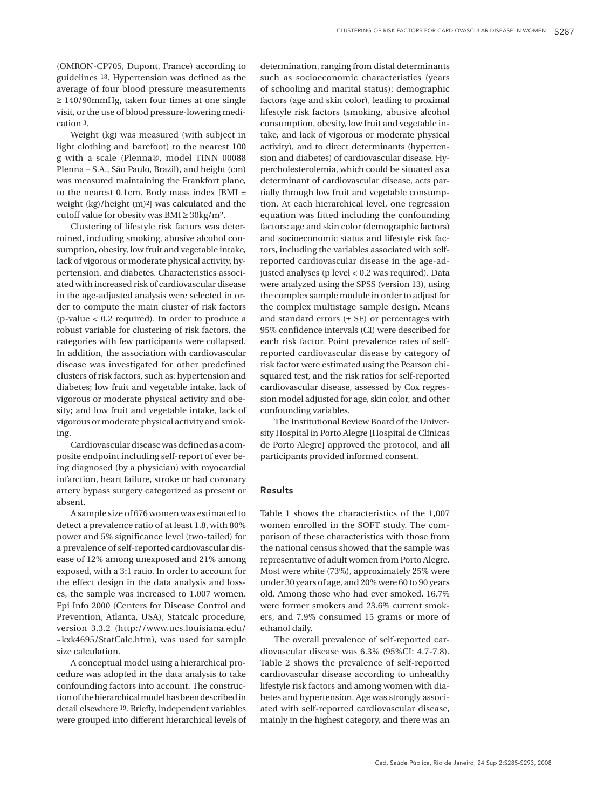(OMRON-CP705, Dupont, France) according to guidelines 18. Hypertension was defined as the average of four blood pressure measurements ≥ 140/90mmHg, taken four times at one single visit, or the use of blood pressure-lowering medication 3.

Weight (kg) was measured (with subject in light clothing and barefoot) to the nearest 100 g with a scale (Plenna®, model TINN 00088 Plenna – S.A., São Paulo, Brazil), and height (cm) was measured maintaining the Frankfort plane, to the nearest 0.1cm. Body mass index [BMI = weight (kg)/height (m)2] was calculated and the cutoff value for obesity was BMI  $\geq$  30kg/m<sup>2</sup>.

Clustering of lifestyle risk factors was determined, including smoking, abusive alcohol consumption, obesity, low fruit and vegetable intake, lack of vigorous or moderate physical activity, hypertension, and diabetes. Characteristics associated with increased risk of cardiovascular disease in the age-adjusted analysis were selected in order to compute the main cluster of risk factors (p-value < 0.2 required). In order to produce a robust variable for clustering of risk factors, the categories with few participants were collapsed. In addition, the association with cardiovascular disease was investigated for other predefined clusters of risk factors, such as: hypertension and diabetes; low fruit and vegetable intake, lack of vigorous or moderate physical activity and obesity; and low fruit and vegetable intake, lack of vigorous or moderate physical activity and smoking.

Cardiovascular disease was defined as a composite endpoint including self-report of ever being diagnosed (by a physician) with myocardial infarction, heart failure, stroke or had coronary artery bypass surgery categorized as present or absent.

A sample size of 676 women was estimated to detect a prevalence ratio of at least 1.8, with 80% power and 5% significance level (two-tailed) for a prevalence of self-reported cardiovascular disease of 12% among unexposed and 21% among exposed, with a 3:1 ratio. In order to account for the effect design in the data analysis and losses, the sample was increased to 1,007 women. Epi Info 2000 (Centers for Disease Control and Prevention, Atlanta, USA), Statcalc procedure, version 3.3.2 (http://www.ucs.louisiana.edu/ ~kxk4695/StatCalc.htm), was used for sample size calculation.

A conceptual model using a hierarchical procedure was adopted in the data analysis to take confounding factors into account. The construction of the hierarchical model has been described in detail elsewhere 19. Briefly, independent variables were grouped into different hierarchical levels of

determination, ranging from distal determinants such as socioeconomic characteristics (years of schooling and marital status); demographic factors (age and skin color), leading to proximal lifestyle risk factors (smoking, abusive alcohol consumption, obesity, low fruit and vegetable intake, and lack of vigorous or moderate physical activity), and to direct determinants (hypertension and diabetes) of cardiovascular disease. Hypercholesterolemia, which could be situated as a determinant of cardiovascular disease, acts partially through low fruit and vegetable consumption. At each hierarchical level, one regression equation was fitted including the confounding factors: age and skin color (demographic factors) and socioeconomic status and lifestyle risk factors, including the variables associated with selfreported cardiovascular disease in the age-adjusted analyses (p level < 0.2 was required). Data were analyzed using the SPSS (version 13), using the complex sample module in order to adjust for the complex multistage sample design. Means and standard errors  $(\pm \text{ SE})$  or percentages with 95% confidence intervals (CI) were described for each risk factor. Point prevalence rates of selfreported cardiovascular disease by category of risk factor were estimated using the Pearson chisquared test, and the risk ratios for self-reported cardiovascular disease, assessed by Cox regression model adjusted for age, skin color, and other confounding variables.

The Institutional Review Board of the University Hospital in Porto Alegre [Hospital de Clínicas de Porto Alegre] approved the protocol, and all participants provided informed consent.

# Results

Table 1 shows the characteristics of the 1,007 women enrolled in the SOFT study. The comparison of these characteristics with those from the national census showed that the sample was representative of adult women from Porto Alegre. Most were white (73%), approximately 25% were under 30 years of age, and 20% were 60 to 90 years old. Among those who had ever smoked, 16.7% were former smokers and 23.6% current smokers, and 7.9% consumed 15 grams or more of ethanol daily.

The overall prevalence of self-reported cardiovascular disease was 6.3% (95%CI: 4.7-7.8). Table 2 shows the prevalence of self-reported cardiovascular disease according to unhealthy lifestyle risk factors and among women with diabetes and hypertension. Age was strongly associated with self-reported cardiovascular disease, mainly in the highest category, and there was an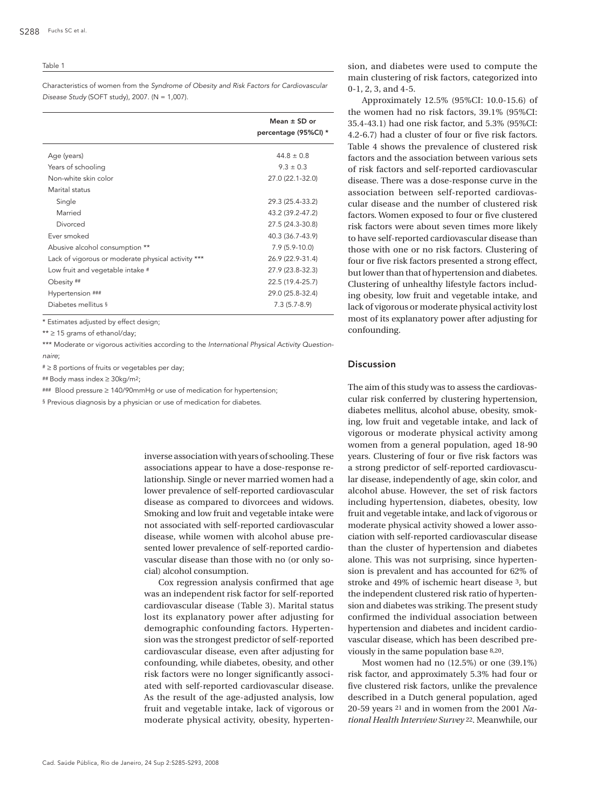#### Table 1

Characteristics of women from the *Syndrome of Obesity and Risk Factors for Cardiovascular Disease Study* (SOFT study), 2007. (N = 1,007).

|                                                    | Mean $\pm$ SD or<br>percentage (95%CI) * |
|----------------------------------------------------|------------------------------------------|
| Age (years)                                        | $44.8 \pm 0.8$                           |
| Years of schooling                                 | $9.3 \pm 0.3$                            |
| Non-white skin color<br>Marital status             | 27.0 (22.1-32.0)                         |
| Single                                             | 29.3 (25.4-33.2)                         |
| Married                                            | 43.2 (39.2-47.2)                         |
| Divorced                                           | 27.5 (24.3-30.8)                         |
| Ever smoked                                        | 40.3 (36.7-43.9)                         |
| Abusive alcohol consumption **                     | $7.9(5.9-10.0)$                          |
| Lack of vigorous or moderate physical activity *** | 26.9 (22.9-31.4)                         |
| Low fruit and vegetable intake #                   | 27.9 (23.8-32.3)                         |
| Obesity ##                                         | 22.5 (19.4-25.7)                         |
| Hypertension ###                                   | 29.0 (25.8-32.4)                         |
| Diabetes mellitus §                                | $7.3(5.7-8.9)$                           |

\* Estimates adjusted by effect design;

\*\* ≥ 15 grams of ethanol/day;

\*\*\* Moderate or vigorous activities according to the International Physical Activity Question*naire*;

 $* \geq 8$  portions of fruits or vegetables per day;

## Body mass index ≥ 30kg/m2;

### Blood pressure ≥ 140/90mmHg or use of medication for hypertension;

§ Previous diagnosis by a physician or use of medication for diabetes.

inverse association with years of schooling. These associations appear to have a dose-response relationship. Single or never married women had a lower prevalence of self-reported cardiovascular disease as compared to divorcees and widows. Smoking and low fruit and vegetable intake were not associated with self-reported cardiovascular disease, while women with alcohol abuse presented lower prevalence of self-reported cardiovascular disease than those with no (or only social) alcohol consumption.

Cox regression analysis confirmed that age was an independent risk factor for self-reported cardiovascular disease (Table 3). Marital status lost its explanatory power after adjusting for demographic confounding factors. Hypertension was the strongest predictor of self-reported cardiovascular disease, even after adjusting for confounding, while diabetes, obesity, and other risk factors were no longer significantly associated with self-reported cardiovascular disease. As the result of the age-adjusted analysis, low fruit and vegetable intake, lack of vigorous or moderate physical activity, obesity, hypertension, and diabetes were used to compute the main clustering of risk factors, categorized into 0-1, 2, 3, and 4-5.

Approximately 12.5% (95%CI: 10.0-15.6) of the women had no risk factors, 39.1% (95%CI: 35.4-43.1) had one risk factor, and 5.3% (95%CI: 4.2-6.7) had a cluster of four or five risk factors. Table 4 shows the prevalence of clustered risk factors and the association between various sets of risk factors and self-reported cardiovascular disease. There was a dose-response curve in the association between self-reported cardiovascular disease and the number of clustered risk factors. Women exposed to four or five clustered risk factors were about seven times more likely to have self-reported cardiovascular disease than those with one or no risk factors. Clustering of four or five risk factors presented a strong effect, but lower than that of hypertension and diabetes. Clustering of unhealthy lifestyle factors including obesity, low fruit and vegetable intake, and lack of vigorous or moderate physical activity lost most of its explanatory power after adjusting for confounding.

# Discussion

The aim of this study was to assess the cardiovascular risk conferred by clustering hypertension, diabetes mellitus, alcohol abuse, obesity, smoking, low fruit and vegetable intake, and lack of vigorous or moderate physical activity among women from a general population, aged 18-90 years. Clustering of four or five risk factors was a strong predictor of self-reported cardiovascular disease, independently of age, skin color, and alcohol abuse. However, the set of risk factors including hypertension, diabetes, obesity, low fruit and vegetable intake, and lack of vigorous or moderate physical activity showed a lower association with self-reported cardiovascular disease than the cluster of hypertension and diabetes alone. This was not surprising, since hypertension is prevalent and has accounted for 62% of stroke and 49% of ischemic heart disease 3, but the independent clustered risk ratio of hypertension and diabetes was striking. The present study confirmed the individual association between hypertension and diabetes and incident cardiovascular disease, which has been described previously in the same population base 8,20.

Most women had no (12.5%) or one (39.1%) risk factor, and approximately 5.3% had four or five clustered risk factors, unlike the prevalence described in a Dutch general population, aged 20-59 years 21 and in women from the 2001 *National Health Interview Survey* 22. Meanwhile, our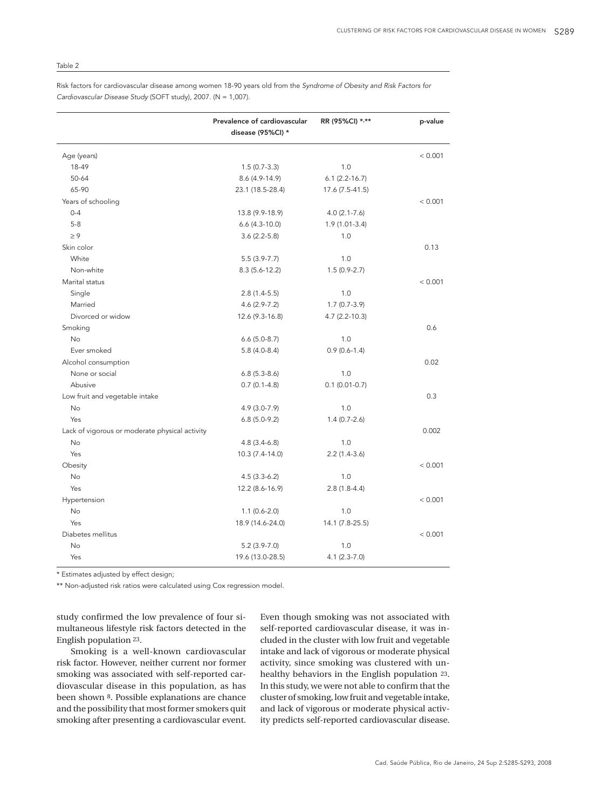## Table 2

Risk factors for cardiovascular disease among women 18-90 years old from the *Syndrome of Obesity and Risk Factors for Cardiovascular Disease Study* (SOFT study), 2007. (N = 1,007).

|                                                | Prevalence of cardiovascular<br>disease (95%CI) * | RR (95%CI) *,**    | p-value |
|------------------------------------------------|---------------------------------------------------|--------------------|---------|
| Age (years)                                    |                                                   |                    | < 0.001 |
| 18-49                                          | $1.5(0.7-3.3)$                                    | 1.0                |         |
| 50-64                                          | 8.6 (4.9-14.9)                                    | $6.1 (2.2 - 16.7)$ |         |
| 65-90                                          | 23.1 (18.5-28.4)                                  | 17.6 (7.5-41.5)    |         |
| Years of schooling                             |                                                   |                    | < 0.001 |
| $0 - 4$                                        | 13.8 (9.9-18.9)                                   | $4.0(2.1 - 7.6)$   |         |
| $5-8$                                          | $6.6(4.3-10.0)$                                   | $1.9(1.01-3.4)$    |         |
| $\geq 9$                                       | $3.6(2.2-5.8)$                                    | 1.0                |         |
| Skin color                                     |                                                   |                    | 0.13    |
| White                                          | $5.5(3.9-7.7)$                                    | 1.0                |         |
| Non-white                                      | $8.3(5.6-12.2)$                                   | $1.5(0.9-2.7)$     |         |
| Marital status                                 |                                                   |                    | < 0.001 |
| Single                                         | $2.8(1.4-5.5)$                                    | 1.0                |         |
| Married                                        | $4.6(2.9-7.2)$                                    | $1.7(0.7-3.9)$     |         |
| Divorced or widow                              | 12.6 (9.3-16.8)                                   | $4.7(2.2 - 10.3)$  |         |
| Smoking                                        |                                                   |                    | 0.6     |
| No                                             | $6.6(5.0-8.7)$                                    | 1.0                |         |
| Ever smoked                                    | $5.8(4.0-8.4)$                                    | $0.9(0.6-1.4)$     |         |
| Alcohol consumption                            |                                                   |                    | 0.02    |
| None or social                                 | $6.8(5.3-8.6)$                                    | 1.0                |         |
| Abusive                                        | $0.7(0.1-4.8)$                                    | $0.1(0.01-0.7)$    |         |
| Low fruit and vegetable intake                 |                                                   |                    | 0.3     |
| No                                             | $4.9(3.0-7.9)$                                    | 1.0                |         |
| Yes                                            | $6.8(5.0-9.2)$                                    | $1.4(0.7-2.6)$     |         |
| Lack of vigorous or moderate physical activity |                                                   |                    | 0.002   |
| No                                             | $4.8(3.4-6.8)$                                    | 1.0                |         |
| Yes                                            | 10.3 (7.4-14.0)                                   | $2.2(1.4-3.6)$     |         |
| Obesity                                        |                                                   |                    | < 0.001 |
| <b>No</b>                                      | $4.5(3.3-6.2)$                                    | 1.0                |         |
| Yes                                            | 12.2 (8.6-16.9)                                   | $2.8(1.8-4.4)$     |         |
| Hypertension                                   |                                                   |                    | < 0.001 |
| <b>No</b>                                      | $1.1(0.6-2.0)$                                    | 1.0                |         |
| Yes                                            | 18.9 (14.6-24.0)                                  | 14.1 (7.8-25.5)    |         |
| Diabetes mellitus                              |                                                   |                    | < 0.001 |
| No                                             | $5.2(3.9-7.0)$                                    | 1.0                |         |
| Yes                                            | 19.6 (13.0-28.5)                                  | $4.1(2.3-7.0)$     |         |

\* Estimates adjusted by effect design;

\*\* Non-adjusted risk ratios were calculated using Cox regression model.

study confirmed the low prevalence of four simultaneous lifestyle risk factors detected in the English population 23.

Smoking is a well-known cardiovascular risk factor. However, neither current nor former smoking was associated with self-reported cardiovascular disease in this population, as has been shown 8. Possible explanations are chance and the possibility that most former smokers quit smoking after presenting a cardiovascular event.

Even though smoking was not associated with self-reported cardiovascular disease, it was included in the cluster with low fruit and vegetable intake and lack of vigorous or moderate physical activity, since smoking was clustered with unhealthy behaviors in the English population 23. In this study, we were not able to confirm that the cluster of smoking, low fruit and vegetable intake, and lack of vigorous or moderate physical activity predicts self-reported cardiovascular disease.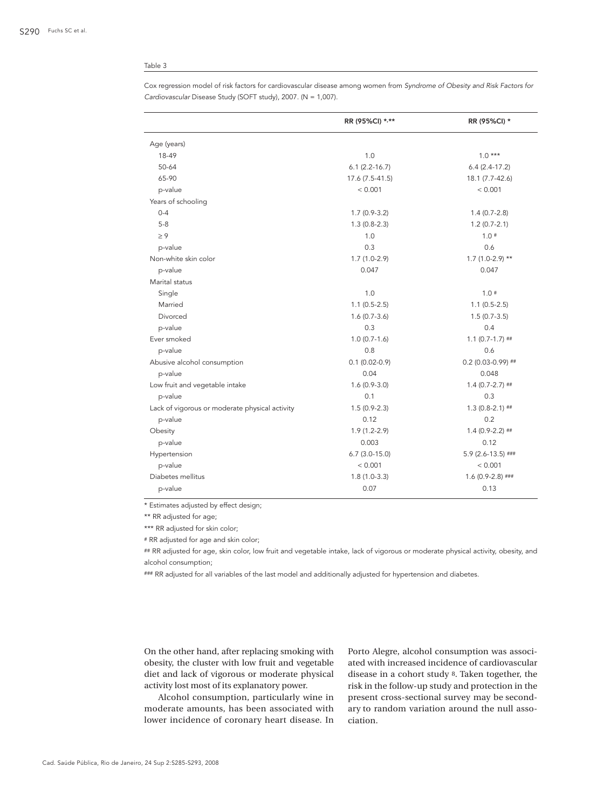## Table 3

| Cox regression model of risk factors for cardiovascular disease among women from Syndrome of Obesity and Risk Factors for |
|---------------------------------------------------------------------------------------------------------------------------|
| Cardiovascular Disease Study (SOFT study), 2007. ( $N = 1,007$ ).                                                         |

|                                                | RR (95%CI) *,**    | RR (95%CI) *         |
|------------------------------------------------|--------------------|----------------------|
| Age (years)                                    |                    |                      |
| 18-49                                          | 1.0                | $1.0***$             |
| 50-64                                          | $6.1 (2.2 - 16.7)$ | $6.4(2.4-17.2)$      |
| 65-90                                          | 17.6 (7.5-41.5)    | 18.1 (7.7-42.6)      |
| p-value                                        | < 0.001            | < 0.001              |
| Years of schooling                             |                    |                      |
| $0 - 4$                                        | $1.7(0.9-3.2)$     | $1.4(0.7-2.8)$       |
| $5 - 8$                                        | $1.3(0.8-2.3)$     | $1.2(0.7-2.1)$       |
| $\geq 9$                                       | 1.0                | 1.0#                 |
| p-value                                        | 0.3                | 0.6                  |
| Non-white skin color                           | $1.7(1.0-2.9)$     | $1.7(1.0-2.9)$ **    |
| p-value                                        | 0.047              | 0.047                |
| Marital status                                 |                    |                      |
| Single                                         | 1.0                | $1.0*$               |
| Married                                        | $1.1(0.5-2.5)$     | $1.1(0.5-2.5)$       |
| Divorced                                       | $1.6(0.7-3.6)$     | $1.5(0.7-3.5)$       |
| p-value                                        | 0.3                | 0.4                  |
| Ever smoked                                    | $1.0(0.7-1.6)$     | $1.1(0.7-1.7)$ ##    |
| p-value                                        | 0.8                | 0.6                  |
| Abusive alcohol consumption                    | $0.1(0.02-0.9)$    | $0.2$ (0.03-0.99) ## |
| p-value                                        | 0.04               | 0.048                |
| Low fruit and vegetable intake                 | $1.6(0.9-3.0)$     | $1.4(0.7-2.7)$ ##    |
| p-value                                        | 0.1                | 0.3                  |
| Lack of vigorous or moderate physical activity | $1.5(0.9-2.3)$     | $1.3(0.8-2.1)$ ##    |
| p-value                                        | 0.12               | 0.2                  |
| Obesity                                        | $1.9(1.2-2.9)$     | $1.4(0.9-2.2)$ ##    |
| p-value                                        | 0.003              | 0.12                 |
| Hypertension                                   | $6.7$ (3.0-15.0)   | 5.9 (2.6-13.5) ###   |
| p-value                                        | < 0.001            | < 0.001              |
| Diabetes mellitus                              | $1.8(1.0-3.3)$     | $1.6(0.9-2.8)$ ###   |
| p-value                                        | 0.07               | 0.13                 |

\* Estimates adjusted by effect design;

\*\* RR adjusted for age;

\*\*\* RR adjusted for skin color;

# RR adjusted for age and skin color;

## RR adjusted for age, skin color, low fruit and vegetable intake, lack of vigorous or moderate physical activity, obesity, and alcohol consumption;

### RR adjusted for all variables of the last model and additionally adjusted for hypertension and diabetes.

On the other hand, after replacing smoking with obesity, the cluster with low fruit and vegetable diet and lack of vigorous or moderate physical activity lost most of its explanatory power.

Alcohol consumption, particularly wine in moderate amounts, has been associated with lower incidence of coronary heart disease. In Porto Alegre, alcohol consumption was associated with increased incidence of cardiovascular disease in a cohort study 8. Taken together, the risk in the follow-up study and protection in the present cross-sectional survey may be secondary to random variation around the null association.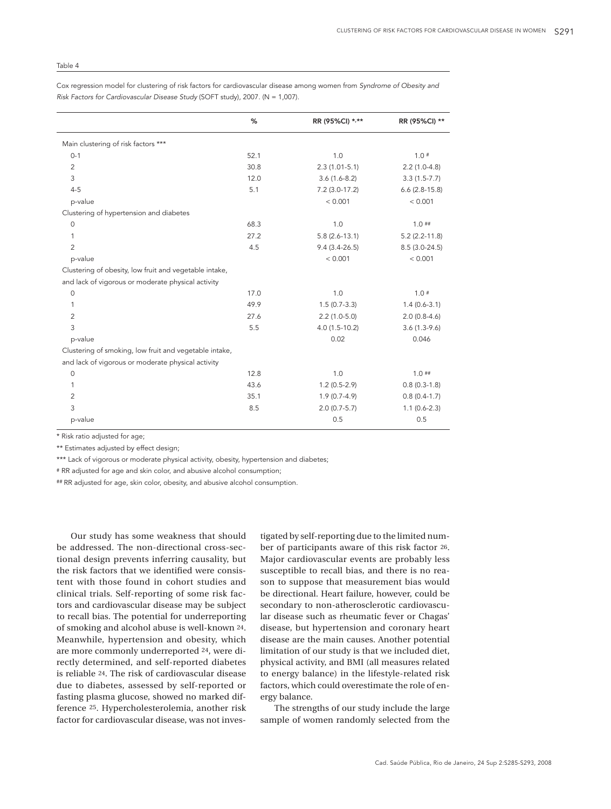% RR (95%CI) \*,\*\* RR (95%CI) \*\* Main clustering of risk factors \*\*\* 0-1  $\qquad \qquad 52.1$   $\qquad \qquad 1.0$   $\qquad \qquad 1.0$   $\qquad \qquad 1.0$  2 30.8 2.3 (1.01-5.1) 2.2 (1.0-4.8) 3 12.0 3.6 (1.6-8.2) 3.3 (1.5-7.7) 4-5 5.1 7.2 (3.0-17.2) 6.6 (2.8-15.8) p-value < 0.001 < 0.001 Clustering of hypertension and diabetes 0 68.3 1.0  $\pm 1.0$  1.0  $\pm 1.0$  1.0  $\pm 1.0$  1 27.2 5.8 (2.6-13.1) 5.2 (2.2-11.8) 2 4.5 9.4 (3.4-26.5) 8.5 (3.0-24.5) p-value < 0.001 < 0.001 Clustering of obesity, low fruit and vegetable intake, and lack of vigorous or moderate physical activity 0 17.0 1.0  $10^{\circ}$  17.0 1.0 1.0  $10^{\circ}$  1 49.9 1.5 (0.7-3.3) 1.4 (0.6-3.1) 2 27.6 2.2 (1.0-5.0) 2.0 (0.8-4.6) 3 5.5 4.0 (1.5-10.2) 3.6 (1.3-9.6) p-value 0.02 0.046 Clustering of smoking, low fruit and vegetable intake, and lack of vigorous or moderate physical activity 0 12.8 1.0  $1.0$   $1.0$   $1.0$   $1.0$ 1 1 2 2 3 3 4 3.6 1.2 (0.5-2.9) 1 43.6 5 4 3.6 5 4 3.6 5 4 3.6 5  $\pm 1.2$  (0.5-2.9) 1 43.6 2 35.1 1.9 (0.7-4.9) 0.8 (0.4-1.7) 3 8.5 2.0 (0.7-5.7) 1.1 (0.6-2.3) p-value 0.5 0.5

Cox regression model for clustering of risk factors for cardiovascular disease among women from *Syndrome of Obesity and Risk Factors for Cardiovascular Disease Study* (SOFT study), 2007. (N = 1,007).

\* Risk ratio adjusted for age;

\*\* Estimates adjusted by effect design;

\*\*\* Lack of vigorous or moderate physical activity, obesity, hypertension and diabetes;

# RR adjusted for age and skin color, and abusive alcohol consumption;

## RR adjusted for age, skin color, obesity, and abusive alcohol consumption.

Our study has some weakness that should be addressed. The non-directional cross-sectional design prevents inferring causality, but the risk factors that we identified were consistent with those found in cohort studies and clinical trials. Self-reporting of some risk factors and cardiovascular disease may be subject to recall bias. The potential for underreporting of smoking and alcohol abuse is well-known 24. Meanwhile, hypertension and obesity, which are more commonly underreported 24, were directly determined, and self-reported diabetes is reliable 24. The risk of cardiovascular disease due to diabetes, assessed by self-reported or fasting plasma glucose, showed no marked difference 25. Hypercholesterolemia, another risk factor for cardiovascular disease, was not inves-

tigated by self-reporting due to the limited number of participants aware of this risk factor 26. Major cardiovascular events are probably less susceptible to recall bias, and there is no reason to suppose that measurement bias would be directional. Heart failure, however, could be secondary to non-atherosclerotic cardiovascular disease such as rheumatic fever or Chagas' disease, but hypertension and coronary heart disease are the main causes. Another potential limitation of our study is that we included diet, physical activity, and BMI (all measures related to energy balance) in the lifestyle-related risk factors, which could overestimate the role of energy balance.

The strengths of our study include the large sample of women randomly selected from the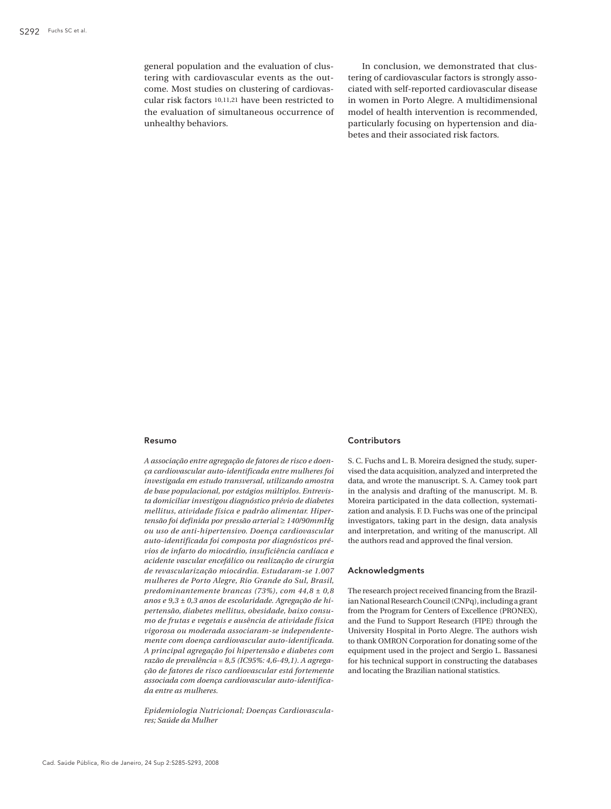general population and the evaluation of clustering with cardiovascular events as the outcome. Most studies on clustering of cardiovascular risk factors 10,11,21 have been restricted to the evaluation of simultaneous occurrence of unhealthy behaviors.

In conclusion, we demonstrated that clustering of cardiovascular factors is strongly associated with self-reported cardiovascular disease in women in Porto Alegre. A multidimensional model of health intervention is recommended, particularly focusing on hypertension and diabetes and their associated risk factors.

#### Resumo

*A associação entre agregação de fatores de risco e doença cardiovascular auto-identificada entre mulheres foi investigada em estudo transversal, utilizando amostra de base populacional, por estágios múltiplos. Entrevista domiciliar investigou diagnóstico prévio de diabetes mellitus, atividade física e padrão alimentar. Hipertensão foi definida por pressão arterial* ≥ *140/90mmHg ou uso de anti-hipertensivo. Doença cardiovascular auto-identificada foi composta por diagnósticos prévios de infarto do miocárdio, insuficiência cardíaca e acidente vascular encefálico ou realização de cirurgia de revascularização miocárdia. Estudaram-se 1.007 mulheres de Porto Alegre, Rio Grande do Sul, Brasil, predominantemente brancas (73%), com 44,8 ± 0,8 anos e 9,3 ± 0,3 anos de escolaridade. Agregação de hipertensão, diabetes mellitus, obesidade, baixo consumo de frutas e vegetais e ausência de atividade física vigorosa ou moderada associaram-se independentemente com doença cardiovascular auto-identificada. A principal agregação foi hipertensão e diabetes com razão de prevalência = 8,5 (IC95%: 4,6-49,1). A agregação de fatores de risco cardiovascular está fortemente associada com doença cardiovascular auto-identificada entre as mulheres.*

*Epidemiologia Nutricional; Doenças Cardiovasculares; Saúde da Mulher*

# Contributors

S. C. Fuchs and L. B. Moreira designed the study, supervised the data acquisition, analyzed and interpreted the data, and wrote the manuscript. S. A. Camey took part in the analysis and drafting of the manuscript. M. B. Moreira participated in the data collection, systematization and analysis. F. D. Fuchs was one of the principal investigators, taking part in the design, data analysis and interpretation, and writing of the manuscript. All the authors read and approved the final version.

#### Acknowledgments

The research project received financing from the Brazilian National Research Council (CNPq), including a grant from the Program for Centers of Excellence (PRONEX), and the Fund to Support Research (FIPE) through the University Hospital in Porto Alegre. The authors wish to thank OMRON Corporation for donating some of the equipment used in the project and Sergio L. Bassanesi for his technical support in constructing the databases and locating the Brazilian national statistics.